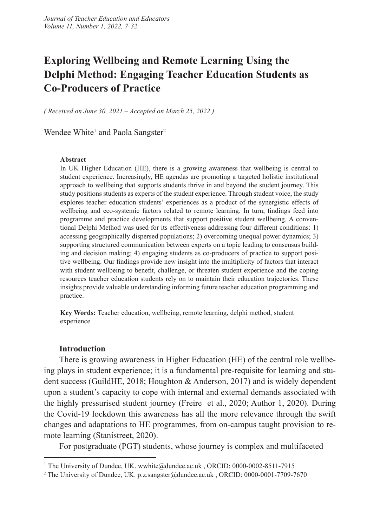## **Exploring Wellbeing and Remote Learning Using the Delphi Method: Engaging Teacher Education Students as Co-Producers of Practice**

*( Received on June 30, 2021 – Accepted on March 25, 2022 )*

Wendee White<sup>1</sup> and Paola Sangster<sup>2</sup>

#### **Abstract**

In UK Higher Education (HE), there is a growing awareness that wellbeing is central to student experience. Increasingly, HE agendas are promoting a targeted holistic institutional approach to wellbeing that supports students thrive in and beyond the student journey. This study positions students as experts of the student experience. Through student voice, the study explores teacher education students' experiences as a product of the synergistic effects of wellbeing and eco-systemic factors related to remote learning. In turn, findings feed into programme and practice developments that support positive student wellbeing. A conventional Delphi Method was used for its effectiveness addressing four different conditions: 1) accessing geographically dispersed populations; 2) overcoming unequal power dynamics; 3) supporting structured communication between experts on a topic leading to consensus building and decision making; 4) engaging students as co-producers of practice to support positive wellbeing. Our findings provide new insight into the multiplicity of factors that interact with student wellbeing to benefit, challenge, or threaten student experience and the coping resources teacher education students rely on to maintain their education trajectories. These insights provide valuable understanding informing future teacher education programming and practice.

**Key Words:** Teacher education, wellbeing, remote learning, delphi method, student experience

### **Introduction**

There is growing awareness in Higher Education (HE) of the central role wellbeing plays in student experience; it is a fundamental pre-requisite for learning and student success (GuildHE, 2018; Houghton & Anderson, 2017) and is widely dependent upon a student's capacity to cope with internal and external demands associated with the highly pressurised student journey (Freire et al., 2020; Author 1, 2020). During the Covid-19 lockdown this awareness has all the more relevance through the swift changes and adaptations to HE programmes, from on-campus taught provision to remote learning (Stanistreet, 2020).

For postgraduate (PGT) students, whose journey is complex and multifaceted

<sup>&</sup>lt;sup>1</sup> The University of Dundee, UK. wwhite@dundee.ac.uk, ORCID: 0000-0002-8511-7915

<sup>2</sup> The University of Dundee, UK. p.z.sangster@dundee.ac.uk , ORCID: 0000-0001-7709-7670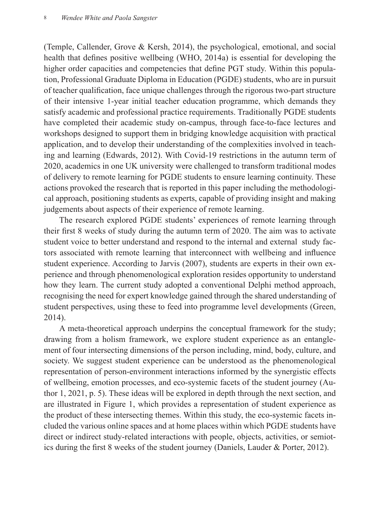(Temple, Callender, Grove & Kersh, 2014), the psychological, emotional, and social health that defines positive wellbeing (WHO, 2014a) is essential for developing the higher order capacities and competencies that define PGT study. Within this population, Professional Graduate Diploma in Education (PGDE) students, who are in pursuit of teacher qualification, face unique challenges through the rigorous two-part structure of their intensive 1-year initial teacher education programme, which demands they satisfy academic and professional practice requirements. Traditionally PGDE students have completed their academic study on-campus, through face-to-face lectures and workshops designed to support them in bridging knowledge acquisition with practical application, and to develop their understanding of the complexities involved in teaching and learning (Edwards, 2012). With Covid-19 restrictions in the autumn term of 2020, academics in one UK university were challenged to transform traditional modes of delivery to remote learning for PGDE students to ensure learning continuity. These actions provoked the research that is reported in this paper including the methodological approach, positioning students as experts, capable of providing insight and making judgements about aspects of their experience of remote learning.

The research explored PGDE students' experiences of remote learning through their first 8 weeks of study during the autumn term of 2020. The aim was to activate student voice to better understand and respond to the internal and external study factors associated with remote learning that interconnect with wellbeing and influence student experience. According to Jarvis (2007), students are experts in their own experience and through phenomenological exploration resides opportunity to understand how they learn. The current study adopted a conventional Delphi method approach, recognising the need for expert knowledge gained through the shared understanding of student perspectives, using these to feed into programme level developments (Green, 2014).

A meta-theoretical approach underpins the conceptual framework for the study; drawing from a holism framework, we explore student experience as an entanglement of four intersecting dimensions of the person including, mind, body, culture, and society. We suggest student experience can be understood as the phenomenological representation of person-environment interactions informed by the synergistic effects of wellbeing, emotion processes, and eco-systemic facets of the student journey (Author 1, 2021, p. 5). These ideas will be explored in depth through the next section, and are illustrated in Figure 1, which provides a representation of student experience as the product of these intersecting themes. Within this study, the eco-systemic facets included the various online spaces and at home places within which PGDE students have direct or indirect study-related interactions with people, objects, activities, or semiotics during the first 8 weeks of the student journey (Daniels, Lauder & Porter, 2012).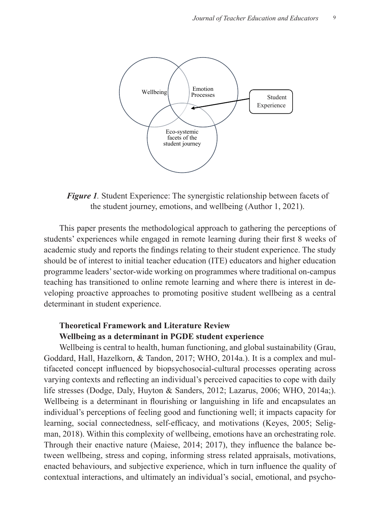

Figure 1. Student Experience: The synergistic relationship between facets of the student journey, emotions, and wellbeing (Author 1, 2021).

This paper presents the methodological approach to gathering the perceptions of students' experiences while engaged in remote learning during their first 8 weeks of academic study and reports the findings relating to their student experience. The study should be of interest to initial teacher education (ITE) educators and higher education programme leaders' sector-wide working on programmes where traditional on-campus teaching has transitioned to online remote learning and where there is interest in developing proactive approaches to promoting positive student wellbeing as a central determinant in student experience. there is sector when working on programmes where indirivital en presents the methodological approach to gathering the perc aggregative station went

#### **Theoretical Framework and Literature Review Wellbeing as a determinant in PGDE student experience**  Literature *Kevie*

Wellbeing is central to health, human functioning, and global sustainability (Grau, Goddard, Hall, Hazelkorn, & Tandon, 2017; WHO, 2014a.). It is a complex and multifaceted concept influenced by biopsychosocial-cultural processes operating across varying contexts and reflecting an individual's perceived capacities to cope with daily 1 life stresses (Dodge, Daly, Huyton & Sanders, 2012; Lazarus, 2006; WHO, 2014a;). Wellbeing is a determinant in flourishing or languishing in life and encapsulates an individual's perceptions of feeling good and functioning well; it impacts capacity for learning, social connectedness, self-efficacy, and motivations (Keyes, 2005; Seligman, 2018). Within this complexity of wellbeing, emotions have an orchestrating role. Through their enactive nature (Maiese, 2014; 2017), they influence the balance between wellbeing, stress and coping, informing stress related appraisals, motivations, enacted behaviours, and subjective experience, which in turn influence the quality of contextual interactions, and ultimately an individual's social, emotional, and psycho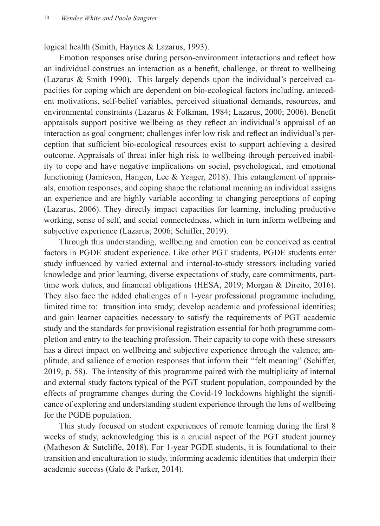logical health (Smith, Haynes & Lazarus, 1993).

Emotion responses arise during person-environment interactions and reflect how an individual construes an interaction as a benefit, challenge, or threat to wellbeing (Lazarus & Smith 1990). This largely depends upon the individual's perceived capacities for coping which are dependent on bio-ecological factors including, antecedent motivations, self-belief variables, perceived situational demands, resources, and environmental constraints (Lazarus & Folkman, 1984; Lazarus, 2000; 2006). Benefit appraisals support positive wellbeing as they reflect an individual's appraisal of an interaction as goal congruent; challenges infer low risk and reflect an individual's perception that sufficient bio-ecological resources exist to support achieving a desired outcome. Appraisals of threat infer high risk to wellbeing through perceived inability to cope and have negative implications on social, psychological, and emotional functioning (Jamieson, Hangen, Lee & Yeager, 2018). This entanglement of appraisals, emotion responses, and coping shape the relational meaning an individual assigns an experience and are highly variable according to changing perceptions of coping (Lazarus, 2006). They directly impact capacities for learning, including productive working, sense of self, and social connectedness, which in turn inform wellbeing and subjective experience (Lazarus, 2006; Schiffer, 2019).

Through this understanding, wellbeing and emotion can be conceived as central factors in PGDE student experience. Like other PGT students, PGDE students enter study influenced by varied external and internal-to-study stressors including varied knowledge and prior learning, diverse expectations of study, care commitments, parttime work duties, and financial obligations (HESA, 2019; Morgan & Direito, 2016). They also face the added challenges of a 1-year professional programme including, limited time to: transition into study; develop academic and professional identities; and gain learner capacities necessary to satisfy the requirements of PGT academic study and the standards for provisional registration essential for both programme completion and entry to the teaching profession. Their capacity to cope with these stressors has a direct impact on wellbeing and subjective experience through the valence, amplitude, and salience of emotion responses that inform their "felt meaning" (Schiffer, 2019, p. 58). The intensity of this programme paired with the multiplicity of internal and external study factors typical of the PGT student population, compounded by the effects of programme changes during the Covid-19 lockdowns highlight the significance of exploring and understanding student experience through the lens of wellbeing for the PGDE population.

This study focused on student experiences of remote learning during the first 8 weeks of study, acknowledging this is a crucial aspect of the PGT student journey (Matheson & Sutcliffe, 2018). For 1-year PGDE students, it is foundational to their transition and enculturation to study, informing academic identities that underpin their academic success (Gale & Parker, 2014).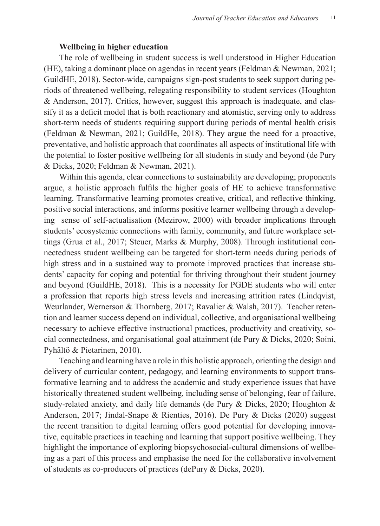### **Wellbeing in higher education**

The role of wellbeing in student success is well understood in Higher Education (HE), taking a dominant place on agendas in recent years (Feldman & Newman, 2021; GuildHE, 2018). Sector-wide, campaigns sign-post students to seek support during periods of threatened wellbeing, relegating responsibility to student services (Houghton & Anderson, 2017). Critics, however, suggest this approach is inadequate, and classify it as a deficit model that is both reactionary and atomistic, serving only to address short-term needs of students requiring support during periods of mental health crisis (Feldman & Newman, 2021; GuildHe, 2018). They argue the need for a proactive, preventative, and holistic approach that coordinates all aspects of institutional life with the potential to foster positive wellbeing for all students in study and beyond (de Pury & Dicks, 2020; Feldman & Newman, 2021).

Within this agenda, clear connections to sustainability are developing; proponents argue, a holistic approach fulfils the higher goals of HE to achieve transformative learning. Transformative learning promotes creative, critical, and reflective thinking, positive social interactions, and informs positive learner wellbeing through a developing sense of self-actualisation (Mezirow, 2000) with broader implications through students' ecosystemic connections with family, community, and future workplace settings (Grua et al., 2017; Steuer, Marks & Murphy, 2008). Through institutional connectedness student wellbeing can be targeted for short-term needs during periods of high stress and in a sustained way to promote improved practices that increase students' capacity for coping and potential for thriving throughout their student journey and beyond (GuildHE, 2018). This is a necessity for PGDE students who will enter a profession that reports high stress levels and increasing attrition rates (Lindqvist, Weurlander, Wernerson & Thornberg, 2017; Ravalier & Walsh, 2017). Teacher retention and learner success depend on individual, collective, and organisational wellbeing necessary to achieve effective instructional practices, productivity and creativity, social connectedness, and organisational goal attainment (de Pury & Dicks, 2020; Soini, Pyhältö & Pietarinen, 2010).

Teaching and learning have a role in this holistic approach, orienting the design and delivery of curricular content, pedagogy, and learning environments to support transformative learning and to address the academic and study experience issues that have historically threatened student wellbeing, including sense of belonging, fear of failure, study-related anxiety, and daily life demands (de Pury & Dicks, 2020; Houghton & Anderson, 2017; Jindal-Snape & Rienties, 2016). De Pury & Dicks (2020) suggest the recent transition to digital learning offers good potential for developing innovative, equitable practices in teaching and learning that support positive wellbeing. They highlight the importance of exploring biopsychosocial-cultural dimensions of wellbeing as a part of this process and emphasise the need for the collaborative involvement of students as co-producers of practices (dePury & Dicks, 2020).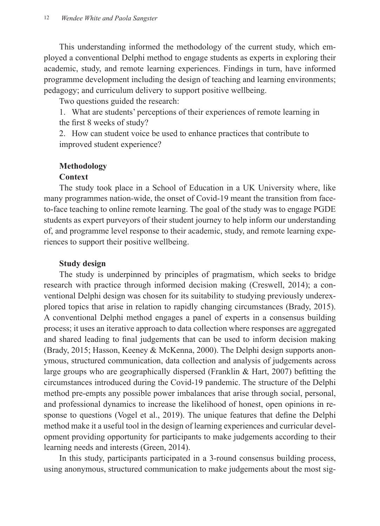This understanding informed the methodology of the current study, which employed a conventional Delphi method to engage students as experts in exploring their academic, study, and remote learning experiences. Findings in turn, have informed programme development including the design of teaching and learning environments; pedagogy; and curriculum delivery to support positive wellbeing.

Two questions guided the research:

1. What are students' perceptions of their experiences of remote learning in the first 8 weeks of study?

2. How can student voice be used to enhance practices that contribute to improved student experience?

## **Methodology**

## **Context**

The study took place in a School of Education in a UK University where, like many programmes nation-wide, the onset of Covid-19 meant the transition from faceto-face teaching to online remote learning. The goal of the study was to engage PGDE students as expert purveyors of their student journey to help inform our understanding of, and programme level response to their academic, study, and remote learning experiences to support their positive wellbeing.

### **Study design**

The study is underpinned by principles of pragmatism, which seeks to bridge research with practice through informed decision making (Creswell, 2014); a conventional Delphi design was chosen for its suitability to studying previously underexplored topics that arise in relation to rapidly changing circumstances (Brady, 2015). A conventional Delphi method engages a panel of experts in a consensus building process; it uses an iterative approach to data collection where responses are aggregated and shared leading to final judgements that can be used to inform decision making (Brady, 2015; Hasson, Keeney & McKenna, 2000). The Delphi design supports anonymous, structured communication, data collection and analysis of judgements across large groups who are geographically dispersed (Franklin & Hart, 2007) befitting the circumstances introduced during the Covid-19 pandemic. The structure of the Delphi method pre-empts any possible power imbalances that arise through social, personal, and professional dynamics to increase the likelihood of honest, open opinions in response to questions (Vogel et al., 2019). The unique features that define the Delphi method make it a useful tool in the design of learning experiences and curricular development providing opportunity for participants to make judgements according to their learning needs and interests (Green, 2014).

In this study, participants participated in a 3-round consensus building process, using anonymous, structured communication to make judgements about the most sig-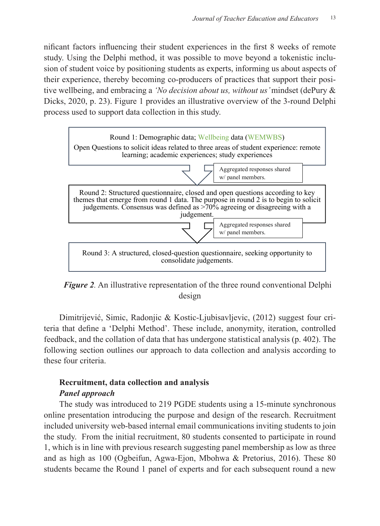nificant factors influencing their student experiences in the first 8 weeks of remote study. Using the Delphi method, it was possible to move beyond a tokenistic inclusion of student voice by positioning students as experts, informing us about aspects of their experience, thereby becoming co-producers of practices that support their positive wellbeing, and embracing a *'No decision about us, without us'* mindset (dePury &  $\overline{R}$ ) Dicks, 2020, p. 23). Figure 1 provides an illustrative overview of the 3-round Delphi process used to support data collection in this study. facets of the student exper



*Figure 2.* An illustrative representation of the three round conventional Delphi *Figure 2:* An illustrative representation of the three round conventional Delphi design design.

Dimitrijević, Simic, Radonjic & Kostic-Ljubisavljevic, (2012) suggest four criteria that define a 'Delphi Method'. These include, anonymity, iteration, controlled 1 feedback, and the collation of data that has undergone statistical analysis (p. 402). The following section outlines our approach to data collection and analysis according to these four criteria.

## **Recruitment, data collection and analysis**  *Panel approach*

The study was introduced to 219 PGDE students using a 15-minute synchronous online presentation introducing the purpose and design of the research. Recruitment included university web-based internal email communications inviting students to join the study. From the initial recruitment, 80 students consented to participate in round 1, which is in line with previous research suggesting panel membership as low as three and as high as 100 (Ogbeifun, Agwa-Ejon, Mbohwa & Pretorius, 2016). These 80 students became the Round 1 panel of experts and for each subsequent round a new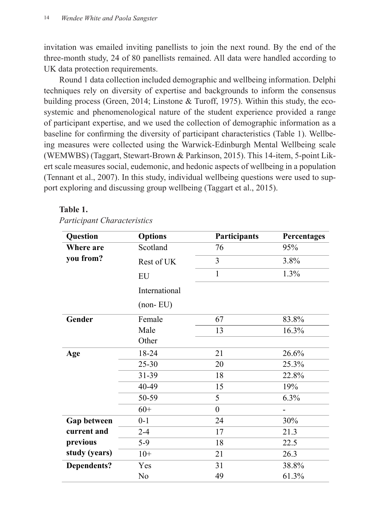invitation was emailed inviting panellists to join the next round. By the end of the three-month study, 24 of 80 panellists remained. All data were handled according to UK data protection requirements.

Round 1 data collection included demographic and wellbeing information. Delphi techniques rely on diversity of expertise and backgrounds to inform the consensus building process (Green, 2014; Linstone & Turoff, 1975). Within this study, the ecosystemic and phenomenological nature of the student experience provided a range of participant expertise, and we used the collection of demographic information as a baseline for confirming the diversity of participant characteristics (Table 1). Wellbeing measures were collected using the Warwick-Edinburgh Mental Wellbeing scale (WEMWBS) (Taggart, Stewart-Brown & Parkinson, 2015). This 14-item, 5-point Likert scale measures social, eudemonic, and hedonic aspects of wellbeing in a population (Tennant et al., 2007). In this study, individual wellbeing questions were used to support exploring and discussing group wellbeing (Taggart et al., 2015).

#### **Table 1.**  $\frac{1}{D}$

*Participant Characteristics Participant Characteristics*

| Question           | <b>Options</b> | Participants   | Percentages |
|--------------------|----------------|----------------|-------------|
| Where are          | Scotland       | 76             | 95%         |
| you from?          | Rest of UK     | 3              | 3.8%        |
|                    | EU             | 1              | 1.3%        |
|                    | International  |                |             |
|                    | $(non-EU)$     |                |             |
| Gender             | Female         | 67             | 83.8%       |
|                    | Male           | 13             | 16.3%       |
|                    | Other          |                |             |
| Age                | 18-24          | 21             | 26.6%       |
|                    | $25 - 30$      | 20             | 25.3%       |
|                    | 31-39          | 18             | 22.8%       |
|                    | 40-49          | 15             | 19%         |
|                    | 50-59          | 5              | 6.3%        |
|                    | $60+$          | $\overline{0}$ |             |
| Gap between        | $0 - 1$        | 24             | 30%         |
| current and        | $2 - 4$        | 17             | 21.3        |
| previous           | $5-9$          | 18             | 22.5        |
| study (years)      | $10+$          | 21             | 26.3        |
| <b>Dependents?</b> | Yes            | 31             | 38.8%       |
|                    | No             | 49             | 61.3%       |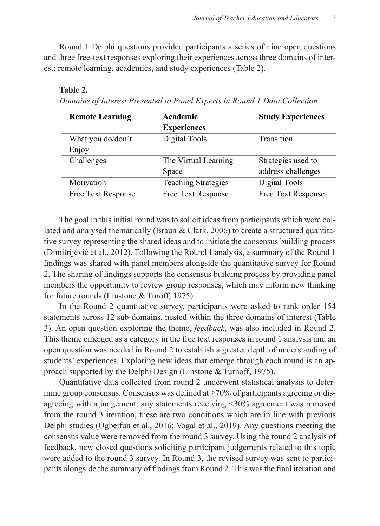Round 1 Delphi questions provided participants a series of nine open questions and three free-text responses exploring their experiences across three domains of interest: remote learning, academics, and study experiences (Table 2).  $\frac{1}{2}$  **Delph** 5-9 18 22.5 ons provided participants a series of three ope **Dependent in the posts of the contract of the set of the set of the set of the set of the set of the set of the set of the set of the set of the set of the set of the set of the set of the set of the set of the set of the** me  $\overline{a}$  $\overline{\phantom{a}}$ 

### **Table 2.**

*Domains of Interest Presented to Panel Experts in Round 1 Data Collection* Table 2. *Domains of Interest Presented to Panel Experts in Round 1 Data Collection*

| <b>Remote Learning</b> | Academic                   | <b>Study Experiences</b> |
|------------------------|----------------------------|--------------------------|
|                        | <b>Experiences</b>         |                          |
| What you do/don't      | Digital Tools              | Transition               |
| Enjoy                  |                            |                          |
| Challenges             | The Virtual Learning       | Strategies used to       |
|                        | Space                      | address challenges       |
| Motivation             | <b>Teaching Strategies</b> | Digital Tools            |
| Free Text Response     | Free Text Response         | Free Text Response       |

The goal in this initial round was to solicit ideas from participants which were collated and analysed thematically (Braun  $& Clark, 2006$ ) to create a structured quantitative survey representing the shared ideas and to initiate the consensus building process 1 (Dimitrijević et al., 2012). Following the Round 1 analysis, a summary of the Round 1 findings was shared with panel members alongside the quantitative survey for Round 2. The sharing of findings supports the consensus building process by providing panel members the opportunity to review group responses, which may inform new thinking for future rounds (Linstone & Turoff, 1975).

In the Round 2 quantitative survey, participants were asked to rank order 154 statements across 12 sub-domains, nested within the three domains of interest (Table 3). An open question exploring the theme, *feedback*, was also included in Round 2. This theme emerged as a category in the free text responses in round 1 analysis and an open question was needed in Round 2 to establish a greater depth of understanding of students' experiences. Exploring new ideas that emerge through each round is an approach supported by the Delphi Design (Linstone & Turnoff, 1975).

Quantitative data collected from round 2 underwent statistical analysis to determine group consensus. Consensus was defined at  $\geq$ 70% of participants agreeing or disagreeing with a judgement; any statements receiving <30% agreement was removed from the round 3 iteration, these are two conditions which are in line with previous Delphi studies (Ogbeifun et al., 2016; Vogal et al., 2019). Any questions meeting the consensus value were removed from the round 3 survey. Using the round 2 analysis of feedback, new closed questions soliciting participant judgements related to this topic were added to the round 3 survey. In Round 3, the revised survey was sent to participants alongside the summary of findings from Round 2. This was the final iteration and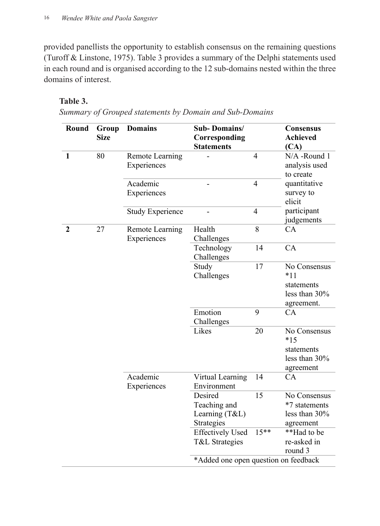provided panellists the opportunity to establish consensus on the remaining questions (Turoff & Linstone, 1975). Table 3 provides a summary of the Delphi statements used in each round and is organised according to the 12 sub-domains nested within the three domains of interest.

## **Table 3.**

Summary of Grouped statements by Domain and Sub-Domains *Summary of Grouped statements by Domain and Sub-Domains* 

| Round        | Group<br><b>Size</b> | <b>Domains</b>                 | <b>Sub-Domains/</b><br>Corresponding<br><b>Statements</b> |                | Consensus<br><b>Achieved</b><br>(CA)                               |
|--------------|----------------------|--------------------------------|-----------------------------------------------------------|----------------|--------------------------------------------------------------------|
| $\mathbf{1}$ | 80                   | Remote Learning<br>Experiences |                                                           | $\overline{4}$ | N/A -Round 1<br>analysis used<br>to create                         |
|              |                      | Academic<br>Experiences        |                                                           | $\overline{4}$ | quantitative<br>survey to<br>elicit                                |
|              |                      | <b>Study Experience</b>        |                                                           | $\overline{4}$ | participant<br>judgements                                          |
| $\mathbf{2}$ | 27                   | Remote Learning<br>Experiences | Health<br>Challenges                                      | 8              | CA                                                                 |
|              |                      |                                | Technology<br>Challenges                                  | 14             | CA                                                                 |
|              |                      |                                | Study<br>Challenges                                       | 17             | No Consensus<br>$*11$<br>statements<br>less than 30%<br>agreement. |
|              |                      |                                | Emotion<br>Challenges                                     | 9              | CA                                                                 |
|              |                      |                                | Likes                                                     | 20             | No Consensus<br>$*15$<br>statements<br>less than 30%<br>agreement  |
|              |                      | Academic<br>Experiences        | Virtual Learning<br>Environment                           | 14             | CA                                                                 |
|              |                      |                                | Desired<br>Teaching and<br>Learning (T&L)<br>Strategies   | 15             | No Consensus<br>*7 statements<br>less than 30%<br>agreement        |
|              |                      |                                | <b>Effectively Used</b><br>T&L Strategies                 | $15***$        | **Had to be<br>re-asked in<br>round 3                              |
|              |                      |                                | *Added one open question on feedback                      |                |                                                                    |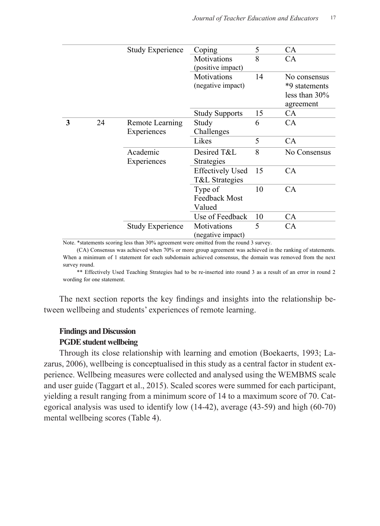|   |    | <b>Study Experience</b>        | Coping                                    | 5  | CA                                                             |
|---|----|--------------------------------|-------------------------------------------|----|----------------------------------------------------------------|
|   |    |                                | Motivations<br>(positive impact)          | 8  | CA                                                             |
|   |    |                                | <b>Motivations</b><br>(negative impact)   | 14 | No consensus<br>*9 statements<br>less than $30\%$<br>agreement |
|   |    |                                | <b>Study Supports</b>                     | 15 | CA.                                                            |
| 3 | 24 | Remote Learning<br>Experiences | Study<br>Challenges                       | 6  | CA                                                             |
|   |    |                                | Likes                                     | 5  | <b>CA</b>                                                      |
|   |    | Academic<br>Experiences        | Desired T&L<br>Strategies                 | 8  | No Consensus                                                   |
|   |    |                                | <b>Effectively Used</b><br>T&L Strategies | 15 | CA.                                                            |
|   |    |                                | Type of<br>Feedback Most<br>Valued        | 10 | CA                                                             |
|   |    |                                | Use of Feedback                           | 10 | <b>CA</b>                                                      |
|   |    | <b>Study Experience</b>        | Motivations<br>(negative impact)          | 5  | <b>CA</b>                                                      |

Note. \*statements scoring less than 30% agreement were omitted from the round 3 survey.

(CA) Consensus was achieved when 70% or more group agreement was achieved in the ranking of statements. When a minimum of 1 statement for each subdomain achieved consensus, the domain was removed from the next survey round.

\*\* Effectively Used Teaching Strategies had to be re-inserted into round 3 as a result of an error in round 2 wording for one statement.

The next section reports the key findings and insights into the relationship between wellbeing and students' experiences of remote learning.

## **Findings and Discussion**

## **PGDE student wellbeing**

Through its close relationship with learning and emotion (Boekaerts, 1993; Lazarus, 2006), wellbeing is conceptualised in this study as a central factor in student experience. Wellbeing measures were collected and analysed using the WEMBMS scale and user guide (Taggart et al., 2015). Scaled scores were summed for each participant, yielding a result ranging from a minimum score of 14 to a maximum score of 70. Categorical analysis was used to identify low (14-42), average (43-59) and high (60-70) mental wellbeing scores (Table 4). being is conceptualised in this study as a central factor in  $\frac{1}{2}$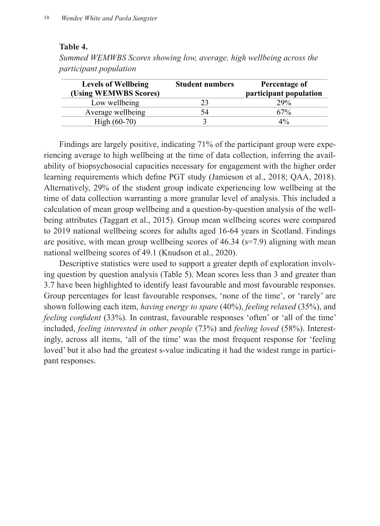### **Table 4.**

| Summed WEMWBS Scores showing low, average, high wellbeing across the |  |
|----------------------------------------------------------------------|--|
| <i>participant population</i>                                        |  |

| <b>Levels of Wellbeing</b><br>(Using WEMWBS Scores) | <b>Student numbers</b> | Percentage of<br>participant population |
|-----------------------------------------------------|------------------------|-----------------------------------------|
| Low wellbeing                                       | 23                     | 29%                                     |
| Average wellbeing                                   | 54                     | 67%                                     |
| $High (60-70)$                                      |                        | $4\%$                                   |

Findings are largely positive, indicating 71% of the participant group were experiencing average to high wellbeing at the time of data collection, inferring the availability of biopsychosocial capacities necessary for engagement with the higher order learning requirements which define PGT study (Jamieson et al., 2018; QAA, 2018). Alternatively, 29% of the student group indicate experiencing low wellbeing at the time of data collection warranting a more granular level of analysis. This included a calculation of mean group wellbeing and a question-by-question analysis of the wellbeing attributes (Taggart et al., 2015). Group mean wellbeing scores were compared to 2019 national wellbeing scores for adults aged 16-64 years in Scotland. Findings are positive, with mean group wellbeing scores of  $46.34$  (s=7.9) aligning with mean national wellbeing scores of 49.1 (Knudson et al., 2020).

Descriptive statistics were used to support a greater depth of exploration involving question by question analysis (Table 5). Mean scores less than 3 and greater than 3.7 have been highlighted to identify least favourable and most favourable responses. Group percentages for least favourable responses, 'none of the time', or 'rarely' are shown following each item, *having energy to spare* (40%), *feeling relaxed* (35%), and *feeling confident* (33%). In contrast, favourable responses 'often' or 'all of the time' included, *feeling interested in other people* (73%) and *feeling loved* (58%). Interestingly, across all items, 'all of the time' was the most frequent response for 'feeling loved' but it also had the greatest s-value indicating it had the widest range in participant responses.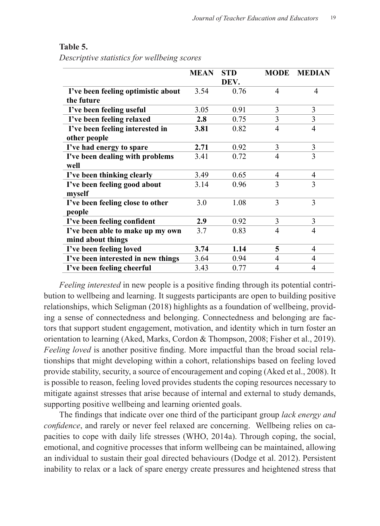|                                    | <b>MEAN</b> | <b>STD</b> | <b>MODE</b>    | <b>MEDIAN</b>  |
|------------------------------------|-------------|------------|----------------|----------------|
|                                    |             | DEV.       |                |                |
| I've been feeling optimistic about | 3.54        | 0.76       | 4              | 4              |
| the future                         |             |            |                |                |
| I've been feeling useful           | 3.05        | 0.91       | 3              | 3              |
| I've been feeling relaxed          | 2.8         | 0.75       | 3              | 3              |
| I've been feeling interested in    | 3.81        | 0.82       | $\overline{4}$ | $\overline{4}$ |
| other people                       |             |            |                |                |
| I've had energy to spare           | 2.71        | 0.92       | 3              | 3              |
| I've been dealing with problems    | 3.41        | 0.72       | 4              | 3              |
| well                               |             |            |                |                |
| I've been thinking clearly         | 3.49        | 0.65       | $\overline{4}$ | 4              |
| I've been feeling good about       | 3.14        | 0.96       | $\mathcal{E}$  | 3              |
| myself                             |             |            |                |                |
| I've been feeling close to other   | 3.0         | 1.08       | 3              | 3              |
| people                             |             |            |                |                |
| I've been feeling confident        | 2.9         | 0.92       | 3              | 3              |
| I've been able to make up my own   | 3.7         | 0.83       | 4              | 4              |
| mind about things                  |             |            |                |                |
| I've been feeling loved            | 3.74        | 1.14       | 5              | 4              |
| I've been interested in new things | 3.64        | 0.94       | 4              | 4              |
| I've been feeling cheerful         | 3.43        | 0.77       | 4              | 4              |

## **Table 5.**

*Descriptive statistics for wellbeing scores* Table 5. *Descriptive statistics for wellbeing scores*

Feeling interested in new people is a positive finding through its potential contribution to wellbeing and learning. It suggests participants are open to building positive relationships, which Seligman (2018) highlights as a foundation of wellbeing, providing a sense of connectedness and belonging. Connectedness and belonging are factors that support student engagement, motivation, and identity which in turn foster an orientation to learning (Aked, Marks, Cordon & Thompson, 2008; Fisher et al., 2019). *Feeling loved* is another positive finding. More impactful than the broad social rela-<br>Feeling loved is another positive finding. More impactful than the broad social relationships that might developing within a cohort, relationships based on feeling loved provide stability, security, a source of encouragement and coping (Aked et al., 2008). It is possible to reason, feeling loved provides students the coping resources necessary to no possible to reason, reemig loved provides statents are expiring resources necessary to mitigate against stresses that arise because of internal and external to study demands, supporting positive wellbeing and learning oriented goals. **Experience**<br>**Experience**  $\frac{1}{2}$ 

The findings that indicate over one third of the participant group *lack energy and confidence*, and rarely or never feel relaxed are concerning. Wellbeing relies on capacities to cope with daily life stresses (WHO, 2014a). Through coping, the social, emotional, and cognitive processes that inform wellbeing can be maintained, allowing an individual to sustain their goal directed behaviours (Dodge et al. 2012). Persistent in marvious to sustain their goal uncered behaviours (Douge et al. 2012). I efficient inability to relax or a lack of spare energy create pressures and heightened stress that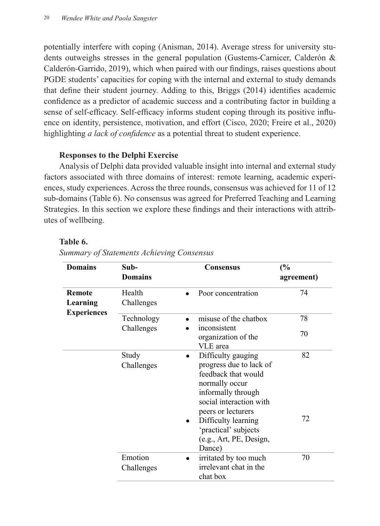potentially interfere with coping (Anisman, 2014). Average stress for university students outweighs stresses in the general population (Gustems-Carnicer, Calderón & **the future** Calderón-Garrido, 2019), which when paired with our findings, raises questions about PGDE students' capacities for coping with the internal and external to study demands that define their student journey. Adding to this, Briggs (2014) identifies academic confidence as a predictor of academic success and a contributing factor in building a **ISON CONTROLLET SERVICE CONTROLLET CONTROLLET SERVICE SERVICE SERVICE SPARE OF SPARE OF SPARE SPACE SPACE SPACE SPACE SPACE SPACE SPACE SPACE SPACE SPACE SPACE SPACE SPACE SPACE SPACE SPACE SPACE SPACE SPACE SPACE SPACE S** ence on identity, persistence, motivation, and effort (Cisco, 2020; Freire et al., 2020) highlighting *a lack of confidence* as a potential threat to student experience. any interfect with coping (Amsman, 2014). Average suess for university It sen-emeacy, sen-emeacy miorius student coping unough its positive

## **Responses to the Delphi Exercise**

Analysis of Delphi data provided valuable insight into internal and external study Factors associated with three domains of interest: remote learning, academic experiences, study experiences. Across the three rounds, consensus was achieved for 11 of 12 sub-domains (Table 6). No consensus was agreed for Preferred Teaching and Learning Strategies. In this section we explore these findings and their interactions with attributes of wellbeing. associated with three domains of interest, remote rearning, academic e **I've been feeling cheerful** 3.43 0.77 4 4

# **Table 6.** Table 6.

| Summary of Statements Achieving Consensus |  |  |  |  |  |
|-------------------------------------------|--|--|--|--|--|
|-------------------------------------------|--|--|--|--|--|

| <b>Domains</b>     | Sub-<br><b>Domains</b>   | <b>Consensus</b>                                                                                                                                                           | (%)<br>agreement) |
|--------------------|--------------------------|----------------------------------------------------------------------------------------------------------------------------------------------------------------------------|-------------------|
| Remote<br>Learning | Health<br>Challenges     | Poor concentration                                                                                                                                                         | 74                |
| <b>Experiences</b> | Technology<br>Challenges | misuse of the chatbox<br>inconsistent<br>organization of the<br>VLE area                                                                                                   | 78<br>70          |
|                    | Study<br>Challenges      | Difficulty gauging<br>$\bullet$<br>progress due to lack of<br>feedback that would<br>normally occur<br>informally through<br>social interaction with<br>peers or lecturers | 82                |
|                    |                          | Difficulty learning<br>'practical' subjects<br>(e.g., Art, PE, Design,<br>Dance)                                                                                           | 72                |
|                    | Emotion<br>Challenges    | irritated by too much<br>irrelevant chat in the<br>chat box                                                                                                                | 70                |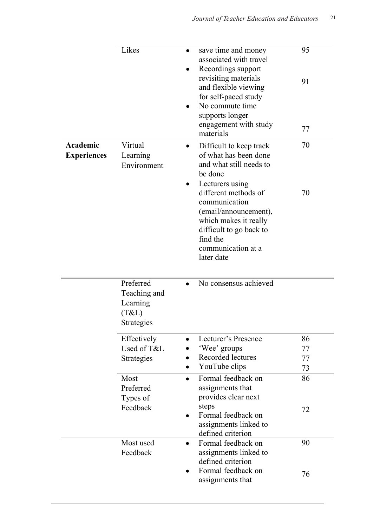|                                | Likes                                                        | $\bullet$ | save time and money<br>associated with travel<br>Recordings support<br>revisiting materials<br>and flexible viewing<br>for self-paced study<br>No commute time<br>supports longer<br>engagement with study<br>materials | 95<br>91<br>77 |
|--------------------------------|--------------------------------------------------------------|-----------|-------------------------------------------------------------------------------------------------------------------------------------------------------------------------------------------------------------------------|----------------|
| Academic<br><b>Experiences</b> | Virtual<br>Learning<br>Environment                           |           | Difficult to keep track<br>of what has been done<br>and what still needs to<br>be done<br>Lecturers using                                                                                                               | 70             |
|                                |                                                              |           | different methods of<br>communication<br>(email/announcement),<br>which makes it really<br>difficult to go back to<br>find the<br>communication at a<br>later date                                                      | 70             |
|                                | Preferred<br>Teaching and<br>Learning<br>(T&L)<br>Strategies |           | No consensus achieved                                                                                                                                                                                                   |                |
|                                | Effectively                                                  |           | Lecturer's Presence                                                                                                                                                                                                     | 86             |
|                                | Used of T&L                                                  |           | 'Wee' groups                                                                                                                                                                                                            | 77             |
|                                | Strategies                                                   |           | Recorded lectures                                                                                                                                                                                                       | 77             |
|                                |                                                              |           | YouTube clips                                                                                                                                                                                                           | 73             |
|                                | Most<br>Preferred<br>Types of                                | $\bullet$ | Formal feedback on<br>assignments that<br>provides clear next                                                                                                                                                           | 86             |
|                                | Feedback                                                     | $\bullet$ | steps<br>Formal feedback on<br>assignments linked to<br>defined criterion                                                                                                                                               | 72             |
|                                | Most used<br>Feedback                                        | $\bullet$ | Formal feedback on<br>assignments linked to<br>defined criterion<br>Formal feedback on                                                                                                                                  | 90             |
|                                |                                                              | $\bullet$ | assignments that                                                                                                                                                                                                        | 76             |

• Informal self-feedback

76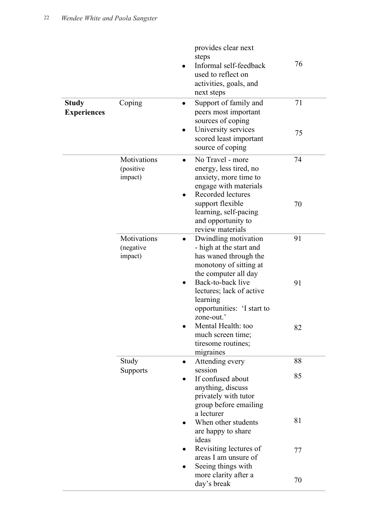| <b>Study</b><br><b>Experiences</b> | Coping                              | provides clear next<br>steps<br>Informal self-feedback<br>used to reflect on<br>activities, goals, and<br>next steps<br>Support of family and<br>$\bullet$<br>peers most important<br>sources of coping<br>University services<br>scored least important | 76<br>71<br>75 |
|------------------------------------|-------------------------------------|----------------------------------------------------------------------------------------------------------------------------------------------------------------------------------------------------------------------------------------------------------|----------------|
|                                    | Motivations<br>(positive<br>impact) | source of coping<br>No Travel - more<br>$\bullet$<br>energy, less tired, no<br>anxiety, more time to<br>engage with materials                                                                                                                            | 74             |
|                                    |                                     | Recorded lectures<br>support flexible<br>learning, self-pacing<br>and opportunity to<br>review materials                                                                                                                                                 | 70             |
|                                    | Motivations<br>(negative<br>impact) | Dwindling motivation<br>$\bullet$<br>- high at the start and<br>has waned through the<br>monotony of sitting at<br>the computer all day                                                                                                                  | 91             |
|                                    |                                     | Back-to-back live<br>lectures; lack of active<br>learning<br>opportunities: 'I start to                                                                                                                                                                  | 91             |
|                                    |                                     | zone-out.'<br>Mental Health: too<br>much screen time;<br>tiresome routines;<br>migraines                                                                                                                                                                 | 82             |
|                                    | Study                               | Attending every                                                                                                                                                                                                                                          | 88             |
|                                    | Supports                            | session<br>If confused about<br>anything, discuss<br>privately with tutor<br>group before emailing                                                                                                                                                       | 85             |
|                                    |                                     | a lecturer<br>When other students<br>are happy to share<br>ideas                                                                                                                                                                                         | 81             |
|                                    |                                     | Revisiting lectures of<br>areas I am unsure of<br>Seeing things with                                                                                                                                                                                     | 77             |
|                                    |                                     | more clarity after a<br>day's break                                                                                                                                                                                                                      | 70             |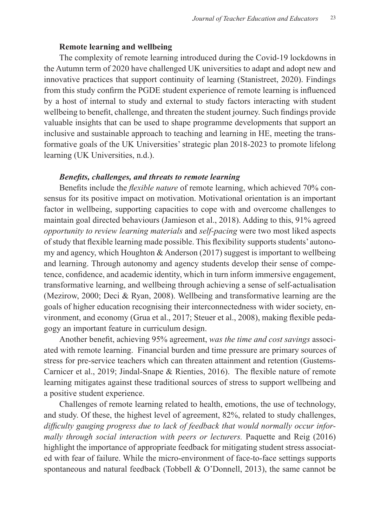### **Remote learning and wellbeing**

The complexity of remote learning introduced during the Covid-19 lockdowns in the Autumn term of 2020 have challenged UK universities to adapt and adopt new and innovative practices that support continuity of learning (Stanistreet, 2020). Findings from this study confirm the PGDE student experience of remote learning is influenced by a host of internal to study and external to study factors interacting with student wellbeing to benefit, challenge, and threaten the student journey. Such findings provide valuable insights that can be used to shape programme developments that support an inclusive and sustainable approach to teaching and learning in HE, meeting the transformative goals of the UK Universities' strategic plan 2018-2023 to promote lifelong learning (UK Universities, n.d.).

### *Benefits, challenges, and threats to remote learning*

Benefits include the *flexible nature* of remote learning, which achieved 70% consensus for its positive impact on motivation. Motivational orientation is an important factor in wellbeing, supporting capacities to cope with and overcome challenges to maintain goal directed behaviours (Jamieson et al., 2018). Adding to this, 91% agreed *opportunity to review learning materials* and *self-pacing* were two most liked aspects of study that flexible learning made possible. This flexibility supports students' autonomy and agency, which Houghton  $&$  Anderson (2017) suggest is important to wellbeing and learning. Through autonomy and agency students develop their sense of competence, confidence, and academic identity, which in turn inform immersive engagement, transformative learning, and wellbeing through achieving a sense of self-actualisation (Mezirow, 2000; Deci & Ryan, 2008). Wellbeing and transformative learning are the goals of higher education recognising their interconnectedness with wider society, environment, and economy (Grua et al., 2017; Steuer et al., 2008), making flexible pedagogy an important feature in curriculum design.

Another benefit, achieving 95% agreement, *was the time and cost savings* associated with remote learning. Financial burden and time pressure are primary sources of stress for pre-service teachers which can threaten attainment and retention (Gustems-Carnicer et al., 2019; Jindal-Snape & Rienties, 2016). The flexible nature of remote learning mitigates against these traditional sources of stress to support wellbeing and a positive student experience.

Challenges of remote learning related to health, emotions, the use of technology, and study. Of these, the highest level of agreement, 82%, related to study challenges, *difficulty gauging progress due to lack of feedback that would normally occur informally through social interaction with peers or lecturers.* Paquette and Reig (2016) highlight the importance of appropriate feedback for mitigating student stress associated with fear of failure. While the micro-environment of face-to-face settings supports spontaneous and natural feedback (Tobbell  $& O'Donnell, 2013$ ), the same cannot be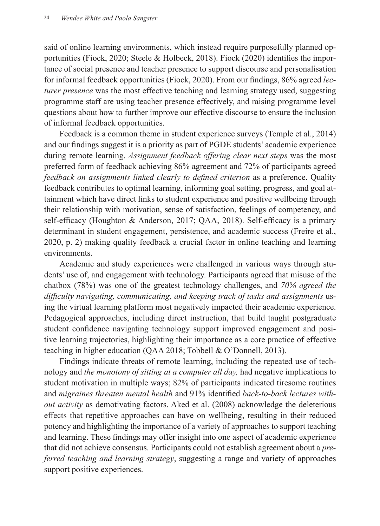said of online learning environments, which instead require purposefully planned opportunities (Fiock, 2020; Steele & Holbeck, 2018). Fiock (2020) identifies the importance of social presence and teacher presence to support discourse and personalisation for informal feedback opportunities (Fiock, 2020). From our findings, 86% agreed *lecturer presence* was the most effective teaching and learning strategy used, suggesting programme staff are using teacher presence effectively, and raising programme level questions about how to further improve our effective discourse to ensure the inclusion of informal feedback opportunities.

Feedback is a common theme in student experience surveys (Temple et al., 2014) and our findings suggest it is a priority as part of PGDE students' academic experience during remote learning. *Assignment feedback offering clear next steps* was the most preferred form of feedback achieving 86% agreement and 72% of participants agreed *feedback on assignments linked clearly to defined criterion* as a preference. Quality feedback contributes to optimal learning, informing goal setting, progress, and goal attainment which have direct links to student experience and positive wellbeing through their relationship with motivation, sense of satisfaction, feelings of competency, and self-efficacy (Houghton & Anderson, 2017; QAA, 2018). Self-efficacy is a primary determinant in student engagement, persistence, and academic success (Freire et al., 2020, p. 2) making quality feedback a crucial factor in online teaching and learning environments.

Academic and study experiences were challenged in various ways through students' use of, and engagement with technology. Participants agreed that misuse of the chatbox (78%) was one of the greatest technology challenges, and *70% agreed the difficulty navigating, communicating, and keeping track of tasks and assignments* using the virtual learning platform most negatively impacted their academic experience. Pedagogical approaches, including direct instruction, that build taught postgraduate student confidence navigating technology support improved engagement and positive learning trajectories, highlighting their importance as a core practice of effective teaching in higher education (QAA 2018; Tobbell & O'Donnell, 2013).

Findings indicate threats of remote learning, including the repeated use of technology and *the monotony of sitting at a computer all day,* had negative implications to student motivation in multiple ways; 82% of participants indicated tiresome routines and *migraines threaten mental health* and 91% identified *back-to-back lectures without activity* as demotivating factors. Aked et al. (2008) acknowledge the deleterious effects that repetitive approaches can have on wellbeing, resulting in their reduced potency and highlighting the importance of a variety of approaches to support teaching and learning. These findings may offer insight into one aspect of academic experience that did not achieve consensus. Participants could not establish agreement about a *preferred teaching and learning strategy*, suggesting a range and variety of approaches support positive experiences.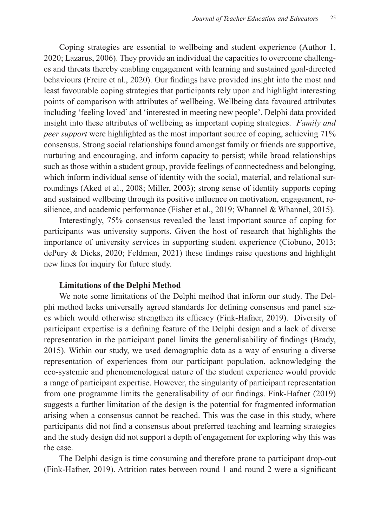Coping strategies are essential to wellbeing and student experience (Author 1, 2020; Lazarus, 2006). They provide an individual the capacities to overcome challenges and threats thereby enabling engagement with learning and sustained goal-directed behaviours (Freire et al., 2020). Our findings have provided insight into the most and least favourable coping strategies that participants rely upon and highlight interesting points of comparison with attributes of wellbeing. Wellbeing data favoured attributes including 'feeling loved' and 'interested in meeting new people'. Delphi data provided insight into these attributes of wellbeing as important coping strategies. *Family and peer support* were highlighted as the most important source of coping, achieving 71% consensus. Strong social relationships found amongst family or friends are supportive, nurturing and encouraging, and inform capacity to persist; while broad relationships such as those within a student group, provide feelings of connectedness and belonging, which inform individual sense of identity with the social, material, and relational surroundings (Aked et al., 2008; Miller, 2003); strong sense of identity supports coping and sustained wellbeing through its positive influence on motivation, engagement, resilience, and academic performance (Fisher et al., 2019; Whannel & Whannel, 2015).

Interestingly, 75% consensus revealed the least important source of coping for participants was university supports. Given the host of research that highlights the importance of university services in supporting student experience (Ciobuno, 2013; dePury & Dicks, 2020; Feldman, 2021) these findings raise questions and highlight new lines for inquiry for future study.

### **Limitations of the Delphi Method**

We note some limitations of the Delphi method that inform our study. The Delphi method lacks universally agreed standards for defining consensus and panel sizes which would otherwise strengthen its efficacy (Fink-Hafner, 2019). Diversity of participant expertise is a defining feature of the Delphi design and a lack of diverse representation in the participant panel limits the generalisability of findings (Brady, 2015). Within our study, we used demographic data as a way of ensuring a diverse representation of experiences from our participant population, acknowledging the eco-systemic and phenomenological nature of the student experience would provide a range of participant expertise. However, the singularity of participant representation from one programme limits the generalisability of our findings. Fink-Hafner (2019) suggests a further limitation of the design is the potential for fragmented information arising when a consensus cannot be reached. This was the case in this study, where participants did not find a consensus about preferred teaching and learning strategies and the study design did not support a depth of engagement for exploring why this was the case.

The Delphi design is time consuming and therefore prone to participant drop-out (Fink-Hafner, 2019). Attrition rates between round 1 and round 2 were a significant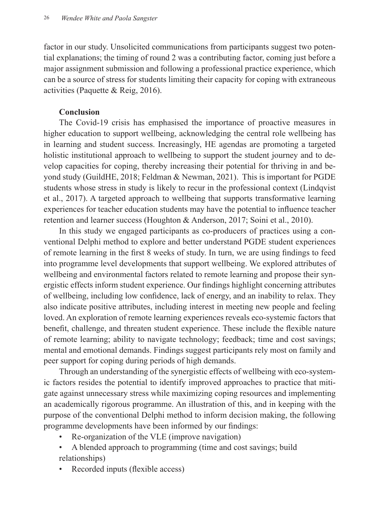factor in our study. Unsolicited communications from participants suggest two potential explanations; the timing of round 2 was a contributing factor, coming just before a major assignment submission and following a professional practice experience, which can be a source of stress for students limiting their capacity for coping with extraneous activities (Paquette & Reig, 2016).

## **Conclusion**

The Covid-19 crisis has emphasised the importance of proactive measures in higher education to support wellbeing, acknowledging the central role wellbeing has in learning and student success. Increasingly, HE agendas are promoting a targeted holistic institutional approach to wellbeing to support the student journey and to develop capacities for coping, thereby increasing their potential for thriving in and beyond study (GuildHE, 2018; Feldman & Newman, 2021). This is important for PGDE students whose stress in study is likely to recur in the professional context (Lindqvist et al., 2017). A targeted approach to wellbeing that supports transformative learning experiences for teacher education students may have the potential to influence teacher retention and learner success (Houghton & Anderson, 2017; Soini et al., 2010).

In this study we engaged participants as co-producers of practices using a conventional Delphi method to explore and better understand PGDE student experiences of remote learning in the first 8 weeks of study. In turn, we are using findings to feed into programme level developments that support wellbeing. We explored attributes of wellbeing and environmental factors related to remote learning and propose their synergistic effects inform student experience. Our findings highlight concerning attributes of wellbeing, including low confidence, lack of energy, and an inability to relax. They also indicate positive attributes, including interest in meeting new people and feeling loved. An exploration of remote learning experiences reveals eco-systemic factors that benefit, challenge, and threaten student experience. These include the flexible nature of remote learning; ability to navigate technology; feedback; time and cost savings; mental and emotional demands. Findings suggest participants rely most on family and peer support for coping during periods of high demands.

Through an understanding of the synergistic effects of wellbeing with eco-systemic factors resides the potential to identify improved approaches to practice that mitigate against unnecessary stress while maximizing coping resources and implementing an academically rigorous programme. An illustration of this, and in keeping with the purpose of the conventional Delphi method to inform decision making, the following programme developments have been informed by our findings:

- Re-organization of the VLE (improve navigation)
- A blended approach to programming (time and cost savings; build relationships)
- Recorded inputs (flexible access)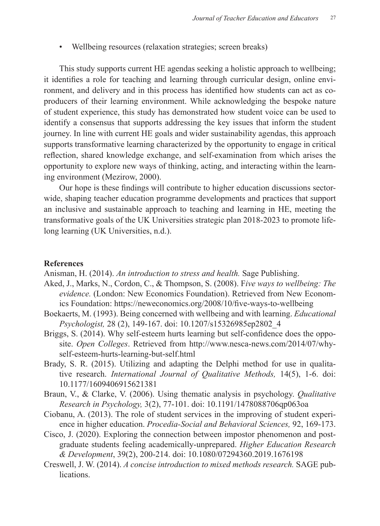• Wellbeing resources (relaxation strategies; screen breaks)

This study supports current HE agendas seeking a holistic approach to wellbeing; it identifies a role for teaching and learning through curricular design, online environment, and delivery and in this process has identified how students can act as coproducers of their learning environment. While acknowledging the bespoke nature of student experience, this study has demonstrated how student voice can be used to identify a consensus that supports addressing the key issues that inform the student journey. In line with current HE goals and wider sustainability agendas, this approach supports transformative learning characterized by the opportunity to engage in critical reflection, shared knowledge exchange, and self-examination from which arises the opportunity to explore new ways of thinking, acting, and interacting within the learning environment (Mezirow, 2000).

Our hope is these findings will contribute to higher education discussions sectorwide, shaping teacher education programme developments and practices that support an inclusive and sustainable approach to teaching and learning in HE, meeting the transformative goals of the UK Universities strategic plan 2018-2023 to promote lifelong learning (UK Universities, n.d.).

### **References**

Anisman, H. (2014). *An introduction to stress and health.* Sage Publishing.

- Aked, J., Marks, N., Cordon, C., & Thompson, S. (2008). F*ive ways to wellbeing: The evidence.* (London: New Economics Foundation). Retrieved from New Economics Foundation: https://neweconomics.org/2008/10/five-ways-to-wellbeing
- Boekaerts, M. (1993). Being concerned with wellbeing and with learning. *Educational Psychologist,* 28 (2), 149-167. doi: 10.1207/s15326985ep2802\_4
- Briggs, S. (2014). Why self-esteem hurts learning but self-confidence does the opposite. *Open Colleges*. Retrieved from http://www.nesca-news.com/2014/07/whyself-esteem-hurts-learning-but-self.html
- Brady, S. R. (2015). Utilizing and adapting the Delphi method for use in qualitative research. *International Journal of Qualitative Methods,* 14(5), 1-6. doi: 10.1177/1609406915621381
- Braun, V., & Clarke, V. (2006). Using thematic analysis in psychology. *Qualitative Research in Psychology,* 3(2), 77-101. doi: 10.1191/1478088706qp063oa
- Ciobanu, A. (2013). The role of student services in the improving of student experience in higher education. *Procedia-Social and Behavioral Sciences,* 92, 169-173.
- Cisco, J. (2020). Exploring the connection between impostor phenomenon and postgraduate students feeling academically-unprepared. *Higher Education Research & Development*, 39(2), 200-214. doi: 10.1080/07294360.2019.1676198
- Creswell, J. W. (2014). *A concise introduction to mixed methods research.* SAGE publications.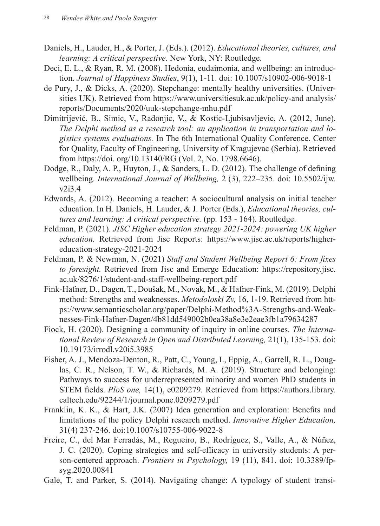- Daniels, H., Lauder, H., & Porter, J. (Eds.). (2012). *Educational theories, cultures, and learning: A critical perspective*. New York, NY: Routledge.
- Deci, E. L., & Ryan, R. M. (2008). Hedonia, eudaimonia, and wellbeing: an introduction. *Journal of Happiness Studies*, 9(1), 1-11. doi: 10.1007/s10902-006-9018-1
- de Pury, J., & Dicks, A. (2020). Stepchange: mentally healthy universities. (Universities UK). Retrieved from https://www.universitiesuk.ac.uk/policy-and analysis/ reports/Documents/2020/uuk-stepchange-mhu.pdf
- Dimitrijević, B., Simic, V., Radonjic, V., & Kostic-Ljubisavljevic, A. (2012, June). *The Delphi method as a research tool: an application in transportation and logistics systems evaluations.* In The 6th International Quality Conference. Center for Quality, Faculty of Engineering, University of Kragujevac (Serbia). Retrieved from https://doi. org/10.13140/RG (Vol. 2, No. 1798.6646).
- Dodge, R., Daly, A. P., Huyton, J., & Sanders, L. D. (2012). The challenge of defining wellbeing. *International Journal of Wellbeing,* 2 (3), 222–235. doi: 10.5502/ijw.  $v2i3.4$
- Edwards, A. (2012). Becoming a teacher: A sociocultural analysis on initial teacher education. In H. Daniels, H. Lauder, & J. Porter (Eds.), *Educational theories, cultures and learning: A critical perspective.* (pp. 153 - 164). Routledge.
- Feldman, P. (2021). *JISC Higher education strategy 2021-2024: powering UK higher education.* Retrieved from Jisc Reports: https://www.jisc.ac.uk/reports/highereducation-strategy-2021-2024
- Feldman, P. & Newman, N. (2021) *Staff and Student Wellbeing Report 6: From fixes to foresight.* Retrieved from Jisc and Emerge Education: https://repository.jisc. ac.uk/8276/1/student-and-staff-wellbeing-report.pdf
- Fink-Hafner, D., Dagen, T., Doušak, M., Novak, M., & Hafner-Fink, M. (2019). Delphi method: Strengths and weaknesses. *Metodoloski Zv,* 16, 1-19. Retrieved from https://www.semanticscholar.org/paper/Delphi-Method%3A-Strengths-and-Weaknesses-Fink-Hafner-Dagen/4b81dd549002b0ea38a8e3e2eae3fb1a79634287
- Fiock, H. (2020). Designing a community of inquiry in online courses. *The International Review of Research in Open and Distributed Learning,* 21(1), 135-153. doi: 10.19173/irrodl.v20i5.3985
- Fisher, A. J., Mendoza-Denton, R., Patt, C., Young, I., Eppig, A., Garrell, R. L., Douglas, C. R., Nelson, T. W., & Richards, M. A. (2019). Structure and belonging: Pathways to success for underrepresented minority and women PhD students in STEM fields. *PloS one,* 14(1), e0209279. Retrieved from https://authors.library. caltech.edu/92244/1/journal.pone.0209279.pdf
- Franklin, K. K., & Hart, J.K. (2007) Idea generation and exploration: Benefits and limitations of the policy Delphi research method. *Innovative Higher Education,*  31(4) 237-246. doi:10.1007/s10755-006-9022-8
- Freire, C., del Mar Ferradás, M., Regueiro, B., Rodríguez, S., Valle, A., & Núñez, J. C. (2020). Coping strategies and self-efficacy in university students: A person-centered approach. *Frontiers in Psychology,* 19 (11), 841. doi: 10.3389/fpsyg.2020.00841
- Gale, T. and Parker, S. (2014). Navigating change: A typology of student transi-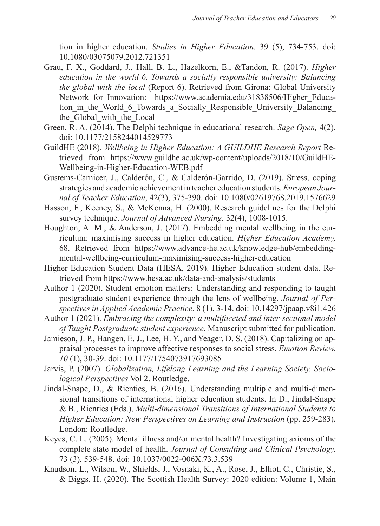tion in higher education. *Studies in Higher Education.* 39 (5), 734-753. doi: 10.1080/03075079.2012.721351

- Grau, F. X., Goddard, J., Hall, B. L., Hazelkorn, E., &Tandon, R. (2017). *Higher education in the world 6. Towards a socially responsible university: Balancing the global with the local* (Report 6). Retrieved from Girona: Global University Network for Innovation: https://www.academia.edu/31838506/Higher Education in the World 6 Towards a Socially Responsible University Balancing the Global with the Local
- Green, R. A. (2014). The Delphi technique in educational research. *Sage Open,* 4(2), doi: 10.1177/2158244014529773
- GuildHE (2018). *Wellbeing in Higher Education: A GUILDHE Research Report* Retrieved from https://www.guildhe.ac.uk/wp-content/uploads/2018/10/GuildHE-Wellbeing-in-Higher-Education-WEB.pdf
- Gustems-Carnicer, J., Calderón, C., & Calderón-Garrido, D. (2019). Stress, coping strategies and academic achievement in teacher education students. *European Journal of Teacher Education*, 42(3), 375-390. doi: 10.1080/02619768.2019.1576629
- Hasson, F., Keeney, S., & McKenna, H. (2000). Research guidelines for the Delphi survey technique. *Journal of Advanced Nursing,* 32(4), 1008-1015.
- Houghton, A. M., & Anderson, J. (2017). Embedding mental wellbeing in the curriculum: maximising success in higher education. *Higher Education Academy,*  68. Retrieved from https://www.advance-he.ac.uk/knowledge-hub/embeddingmental-wellbeing-curriculum-maximising-success-higher-education
- Higher Education Student Data (HESA, 2019). Higher Education student data. Retrieved from https://www.hesa.ac.uk/data-and-analysis/students
- Author 1 (2020). Student emotion matters: Understanding and responding to taught postgraduate student experience through the lens of wellbeing. *Journal of Perspectives in Applied Academic Practice.* 8 (1), 3-14. doi: 10.14297/jpaap.v8i1.426
- Author 1 (2021). *Embracing the complexity: a multifaceted and inter-sectional model of Taught Postgraduate student experience*. Manuscript submitted for publication.
- Jamieson, J. P., Hangen, E. J., Lee, H. Y., and Yeager, D. S. (2018). Capitalizing on appraisal processes to improve affective responses to social stress. *Emotion Review. 10* (1), 30-39. doi: 10.1177/1754073917693085
- Jarvis, P. (2007). *Globalization, Lifelong Learning and the Learning Society. Sociological Perspectives* Vol 2. Routledge.
- Jindal-Snape, D., & Rienties, B. (2016). Understanding multiple and multi-dimensional transitions of international higher education students. In D., Jindal-Snape & B., Rienties (Eds.), *Multi-dimensional Transitions of International Students to Higher Education: New Perspectives on Learning and Instruction (pp. 259-283).* London: Routledge.
- Keyes, C. L. (2005). Mental illness and/or mental health? Investigating axioms of the complete state model of health. *Journal of Consulting and Clinical Psychology.* 73 (3), 539-548. doi: 10.1037/0022-006X.73.3.539
- Knudson, L., Wilson, W., Shields, J., Vosnaki, K., A., Rose, J., Elliot, C., Christie, S., & Biggs, H. (2020). The Scottish Health Survey: 2020 edition: Volume 1, Main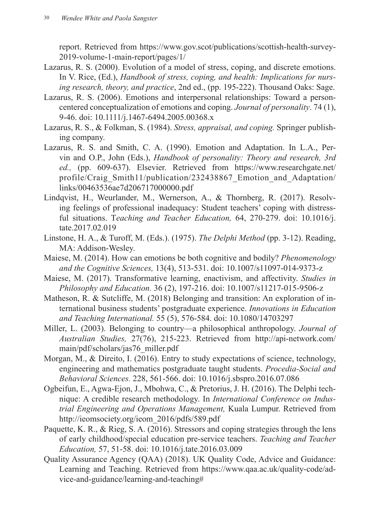report. Retrieved from https://www.gov.scot/publications/scottish-health-survey-2019-volume-1-main-report/pages/1/

- Lazarus, R. S. (2000). Evolution of a model of stress, coping, and discrete emotions. In V. Rice, (Ed.), *Handbook of stress, coping, and health: Implications for nursing research, theory, and practice*, 2nd ed., (pp. 195-222). Thousand Oaks: Sage.
- Lazarus, R. S. (2006). Emotions and interpersonal relationships: Toward a personcentered conceptualization of emotions and coping. *Journal of personality*. 74 (1), 9-46. doi: 10.1111/j.1467-6494.2005.00368.x
- Lazarus, R. S., & Folkman, S. (1984). *Stress, appraisal, and coping.* Springer publishing company.
- Lazarus, R. S. and Smith, C. A. (1990). Emotion and Adaptation. In L.A., Pervin and O.P., John (Eds.), *Handbook of personality: Theory and research, 3rd ed.,* (pp. 609-637). Elsevier. Retrieved from https://www.researchgate.net/ profile/Craig\_Smith11/publication/232438867\_Emotion\_and\_Adaptation/ links/00463536ae7d206717000000.pdf
- Lindqvist, H., Weurlander, M., Wernerson, A., & Thornberg, R. (2017). Resolving feelings of professional inadequacy: Student teachers' coping with distressful situations. T*eaching and Teacher Education,* 64, 270-279. doi: 10.1016/j. tate.2017.02.019
- Linstone, H. A., & Turoff, M. (Eds.). (1975). *The Delphi Method* (pp. 3-12). Reading, MA: Addison-Wesley.
- Maiese, M. (2014). How can emotions be both cognitive and bodily? *Phenomenology and the Cognitive Sciences,* 13(4), 513-531. doi: 10.1007/s11097-014-9373-z
- Maiese, M. (2017). Transformative learning, enactivism, and affectivity. *Studies in Philosophy and Education.* 36 (2), 197-216. doi: 10.1007/s11217-015-9506-z
- Matheson, R. & Sutcliffe, M. (2018) Belonging and transition: An exploration of international business students' postgraduate experience. *Innovations in Education and Teaching International.* 55 (5), 576-584. doi: 10.1080/14703297
- Miller, L. (2003). Belonging to country—a philosophical anthropology. *Journal of Australian Studies,* 27(76), 215-223. Retrieved from http://api-network.com/ main/pdf/scholars/jas76\_miller.pdf
- Morgan, M., & Direito, I. (2016). Entry to study expectations of science, technology, engineering and mathematics postgraduate taught students. *Procedia-Social and Behavioral Sciences.* 228, 561-566. doi: 10.1016/j.sbspro.2016.07.086
- Ogbeifun, E., Agwa-Ejon, J., Mbohwa, C., & Pretorius, J. H. (2016). The Delphi technique: A credible research methodology. In *International Conference on Industrial Engineering and Operations Management,* Kuala Lumpur. Retrieved from http://ieomsociety.org/ieom\_2016/pdfs/589.pdf
- Paquette, K. R., & Rieg, S. A. (2016). Stressors and coping strategies through the lens of early childhood/special education pre-service teachers. *Teaching and Teacher Education,* 57, 51-58. doi: 10.1016/j.tate.2016.03.009
- Quality Assurance Agency (QAA) (2018). UK Quality Code, Advice and Guidance: Learning and Teaching. Retrieved from https://www.qaa.ac.uk/quality-code/advice-and-guidance/learning-and-teaching#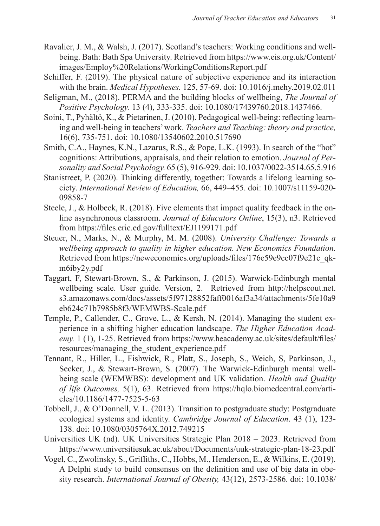- Ravalier, J. M., & Walsh, J. (2017). Scotland's teachers: Working conditions and wellbeing. Bath: Bath Spa University. Retrieved from https://www.eis.org.uk/Content/ images/Employ%20Relations/WorkingConditionsReport.pdf
- Schiffer, F. (2019). The physical nature of subjective experience and its interaction with the brain. *Medical Hypotheses.* 125, 57-69. doi: 10.1016/j.mehy.2019.02.011
- Seligman, M., (2018). PERMA and the building blocks of wellbeing, *The Journal of Positive Psychology.* 13 (4), 333-335. doi: 10.1080/17439760.2018.1437466.
- Soini, T., Pyhältö, K., & Pietarinen, J. (2010). Pedagogical well-being: reflecting learning and well-being in teachers' work. *Teachers and Teaching: theory and practice,*  16(6), 735-751. doi: 10.1080/13540602.2010.517690
- Smith, C.A., Haynes, K.N., Lazarus, R.S., & Pope, L.K. (1993). In search of the "hot" cognitions: Attributions, appraisals, and their relation to emotion. *Journal of Personality and Social Psychology.* 65 (5), 916-929. doi: 10.1037/0022-3514.65.5.916
- Stanistreet, P. (2020). Thinking differently, together: Towards a lifelong learning society. *International Review of Education,* 66, 449–455. doi: 10.1007/s11159-020- 09858-7
- Steele, J., & Holbeck, R. (2018). Five elements that impact quality feedback in the online asynchronous classroom. *Journal of Educators Online*, 15(3), n3. Retrieved from https://files.eric.ed.gov/fulltext/EJ1199171.pdf
- Steuer, N., Marks, N., & Murphy, M. M. (2008). *University Challenge: Towards a wellbeing approach to quality in higher education. New Economics Foundation.*  Retrieved from https://neweconomics.org/uploads/files/176e59e9cc07f9e21c\_qkm6iby2y.pdf
- Taggart, F, Stewart-Brown, S., & Parkinson, J. (2015). Warwick-Edinburgh mental wellbeing scale. User guide. Version, 2. Retrieved from http://helpscout.net. s3.amazonaws.com/docs/assets/5f97128852faff0016af3a34/attachments/5fe10a9 eb624c71b7985b8f3/WEMWBS-Scale.pdf
- Temple, P., Callender, C., Grove, L., & Kersh, N. (2014). Managing the student experience in a shifting higher education landscape. *The Higher Education Academy.* 1 (1), 1-25. Retrieved from https://www.heacademy.ac.uk/sites/default/files/ resources/managing\_the\_student\_experience.pdf
- Tennant, R., Hiller, L., Fishwick, R., Platt, S., Joseph, S., Weich, S, Parkinson, J., Secker, J., & Stewart-Brown, S. (2007). The Warwick-Edinburgh mental wellbeing scale (WEMWBS): development and UK validation. *Health and Quality of life Outcomes,* 5(1), 63. Retrieved from https://hqlo.biomedcentral.com/articles/10.1186/1477-7525-5-63
- Tobbell, J., & O'Donnell, V. L. (2013). Transition to postgraduate study: Postgraduate ecological systems and identity. *Cambridge Journal of Education*. 43 (1), 123- 138. doi: 10.1080/0305764X.2012.749215
- Universities UK (nd). UK Universities Strategic Plan 2018 2023. Retrieved from https://www.universitiesuk.ac.uk/about/Documents/uuk-strategic-plan-18-23.pdf
- Vogel, C., Zwolinsky, S., Griffiths, C., Hobbs, M., Henderson, E., & Wilkins, E. (2019). A Delphi study to build consensus on the definition and use of big data in obesity research. *International Journal of Obesity,* 43(12), 2573-2586. doi: 10.1038/